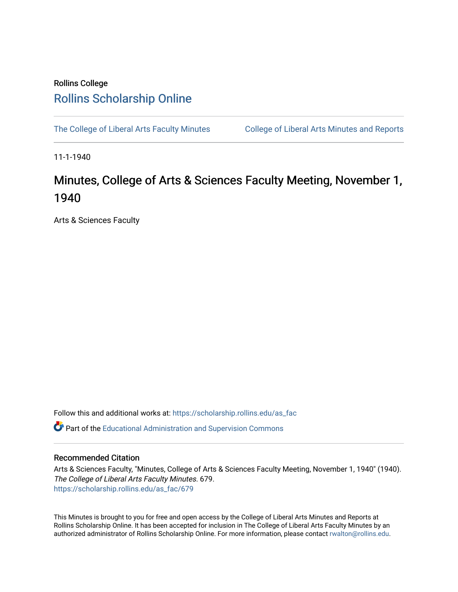## Rollins College [Rollins Scholarship Online](https://scholarship.rollins.edu/)

[The College of Liberal Arts Faculty Minutes](https://scholarship.rollins.edu/as_fac) College of Liberal Arts Minutes and Reports

11-1-1940

## Minutes, College of Arts & Sciences Faculty Meeting, November 1, 1940

Arts & Sciences Faculty

Follow this and additional works at: [https://scholarship.rollins.edu/as\\_fac](https://scholarship.rollins.edu/as_fac?utm_source=scholarship.rollins.edu%2Fas_fac%2F679&utm_medium=PDF&utm_campaign=PDFCoverPages) 

**P** Part of the [Educational Administration and Supervision Commons](http://network.bepress.com/hgg/discipline/787?utm_source=scholarship.rollins.edu%2Fas_fac%2F679&utm_medium=PDF&utm_campaign=PDFCoverPages)

## Recommended Citation

Arts & Sciences Faculty, "Minutes, College of Arts & Sciences Faculty Meeting, November 1, 1940" (1940). The College of Liberal Arts Faculty Minutes. 679. [https://scholarship.rollins.edu/as\\_fac/679](https://scholarship.rollins.edu/as_fac/679?utm_source=scholarship.rollins.edu%2Fas_fac%2F679&utm_medium=PDF&utm_campaign=PDFCoverPages) 

This Minutes is brought to you for free and open access by the College of Liberal Arts Minutes and Reports at Rollins Scholarship Online. It has been accepted for inclusion in The College of Liberal Arts Faculty Minutes by an authorized administrator of Rollins Scholarship Online. For more information, please contact [rwalton@rollins.edu](mailto:rwalton@rollins.edu).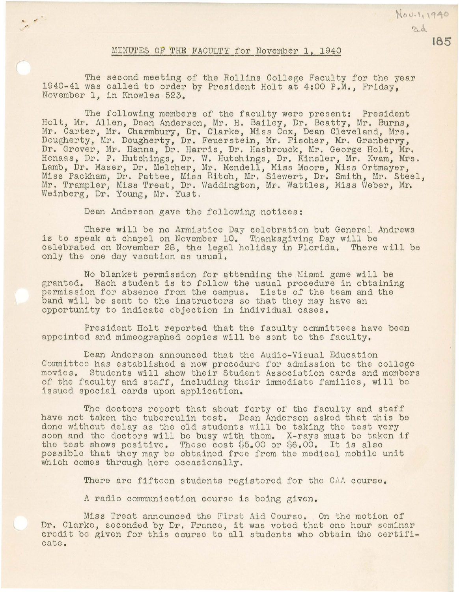## MINUTES OF THE FACULTY for November 1, 1940

 $\ddot{\phantom{0}}$ 

The second meeting of the Rollins College Faculty for the year 1940-41 was called to order by President Holt at 4:00 P.M., Frlday, November 1, in Knowles 523.

The following members of the faculty were present: President Holt, Mr. Allen, Dean Anderson, Mr. H. Bailey, Dr. Beatty, Mr, Burns, Mr. Carter, Mr. Charmbury, Dr. Clarke, Miss Cox, Dean Cleveland, Mrs. Dougherty, Mr. Dougherty, Dr. Feuerstein, Mr. Fischer, Mr. Granberry, Dr. Grover, Mr. Hanna, Dr. Harris, Dr. Hasbrouck, Mr. George Holt, Mr. Honaas, Dr. P. Hutchings, Dr. W. Hutchings, Dr. Kinsler, Mr. Kvam, Mrs. Lamb, Dr. Maser, Dr. Melcher, Mr. Mendell, Miss Moore, Miss Ortmayer, Miss Packham, Dr. Pattee, Miss Ritch, Mr. Siewert, Dr. Smith, Mr. Steel, Mr. Trampler, Miss Treat, Dr. Waddington, Mr. Wattles, Miss Weber, Mr. Weinberg, Dr. Young, Mr. Yust.

Dean Anderson gave the following notices:

There will be no Armistice Day celebration but General Andrews is to speak at chapel on November 10. Thanksgiving Day will be celebrated on November 28, the legal holiday in Florida. There will be only the one day vacation as usual,

No blanket permission for attending the Miami game will be granted, Each student is to follow the usual procedure in obtaining permission for absence from the campus. Lists of the team and the band will be sent to the instructors so that they may have an opportunity to indicate objection in individual cases.

President Holt reported that the faculty committees have been appointed and mimeographed copies will be sent to the faculty.

Dean Anderson announced that the Audio-Visual Education Committee has established a new procedure for admission to the college movies. Students will show their Student Association cards and members of the faculty and staff, including their immediate families, will be issued special cards upon application.

The doctors report that about forty of the faculty and staff have not taken the tuberculin test. Dean Anderson asked that this be done without delay as the old students wlll bo taking tho tost very soon and the doctors will be busy with them. X-rays must be taken if the test shows positive. These cost  $$5.00$  or  $$6.00$ . It is also possible that they may be obtained free from the medical mobile unit which comes through here occasionally.

There are fifteen students registered for the CAA course.

A radio communication course is being given.

Miss Treat announced the First Aid Course. On the motion of Dr. Clarke, seconded by Dr. France, it was voted that one hour seminar credit be given for this course to all students who obtain the certifi-<br>cate.

**185** 

Nov. 1, 1940 ad